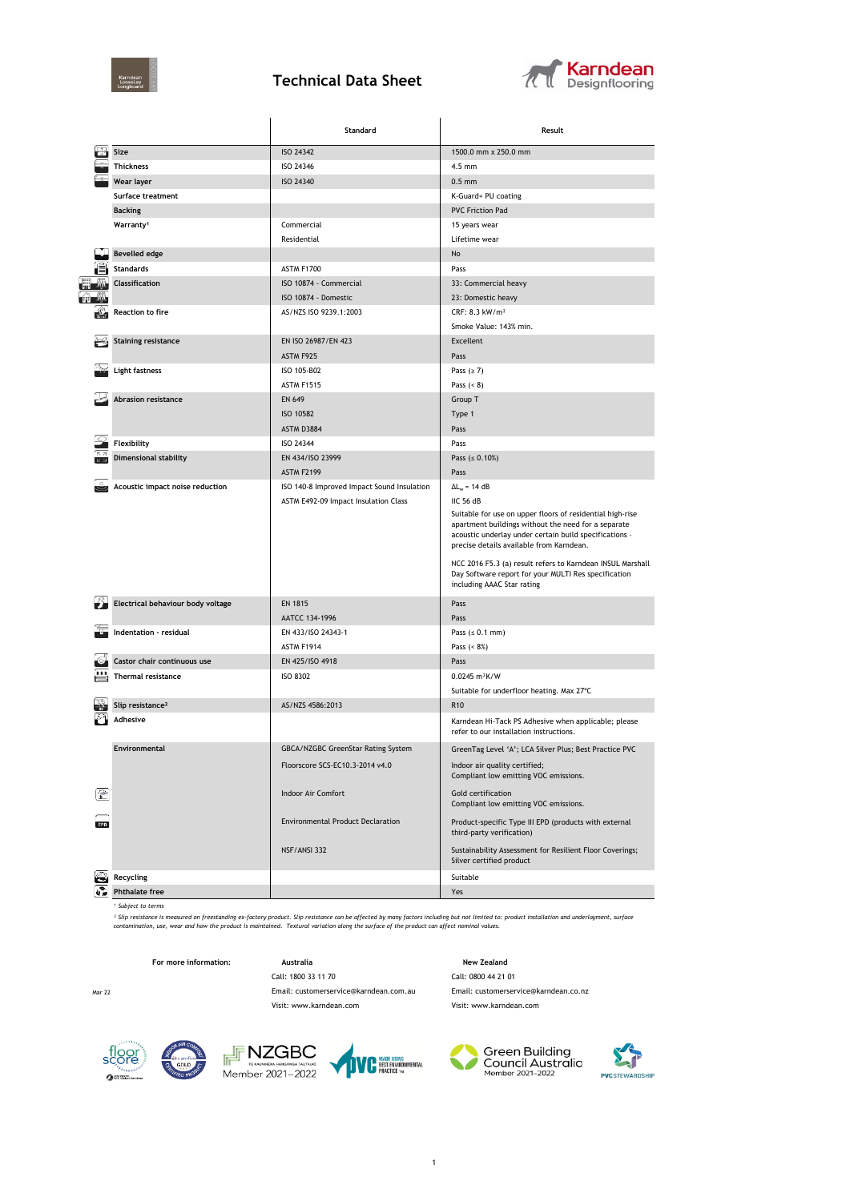

## **Technical Data Sheet**



|     |                                   | Standard                                   | Result                                                                                                                                                                                                                                                                                                                                                                                  |  |  |
|-----|-----------------------------------|--------------------------------------------|-----------------------------------------------------------------------------------------------------------------------------------------------------------------------------------------------------------------------------------------------------------------------------------------------------------------------------------------------------------------------------------------|--|--|
|     | Size                              | ISO 24342                                  | 1500.0 mm x 250.0 mm                                                                                                                                                                                                                                                                                                                                                                    |  |  |
|     | <b>Thickness</b>                  | ISO 24346                                  | $4.5$ mm                                                                                                                                                                                                                                                                                                                                                                                |  |  |
|     | Wear layer                        | ISO 24340                                  | $0.5$ mm                                                                                                                                                                                                                                                                                                                                                                                |  |  |
|     | <b>Surface treatment</b>          |                                            | K-Guard+ PU coating                                                                                                                                                                                                                                                                                                                                                                     |  |  |
|     | <b>Backing</b>                    |                                            | <b>PVC Friction Pad</b>                                                                                                                                                                                                                                                                                                                                                                 |  |  |
|     | Warranty <sup>1</sup>             | Commercial                                 | 15 years wear                                                                                                                                                                                                                                                                                                                                                                           |  |  |
|     |                                   | Residential                                | Lifetime wear                                                                                                                                                                                                                                                                                                                                                                           |  |  |
|     | <b>Bevelled edge</b>              |                                            | No                                                                                                                                                                                                                                                                                                                                                                                      |  |  |
|     | <b>Standards</b>                  | ASTM F1700                                 | Pass                                                                                                                                                                                                                                                                                                                                                                                    |  |  |
|     | Classification                    | ISO 10874 - Commercial                     | 33: Commercial heavy                                                                                                                                                                                                                                                                                                                                                                    |  |  |
|     |                                   | ISO 10874 - Domestic                       | 23: Domestic heavy                                                                                                                                                                                                                                                                                                                                                                      |  |  |
|     | Reaction to fire                  | AS/NZS ISO 9239.1:2003                     | CRF: 8.3 kW/m <sup>2</sup>                                                                                                                                                                                                                                                                                                                                                              |  |  |
|     |                                   |                                            | Smoke Value: 143% min.                                                                                                                                                                                                                                                                                                                                                                  |  |  |
|     | <b>Staining resistance</b>        | EN ISO 26987/EN 423                        | Excellent                                                                                                                                                                                                                                                                                                                                                                               |  |  |
|     |                                   | ASTM F925                                  | Pass                                                                                                                                                                                                                                                                                                                                                                                    |  |  |
|     | <b>Light fastness</b>             | ISO 105-B02                                | Pass $(≥ 7)$                                                                                                                                                                                                                                                                                                                                                                            |  |  |
|     |                                   |                                            |                                                                                                                                                                                                                                                                                                                                                                                         |  |  |
|     | <b>Abrasion resistance</b>        | ASTM F1515                                 | Pass $(8)$                                                                                                                                                                                                                                                                                                                                                                              |  |  |
|     |                                   | EN 649                                     | Group T                                                                                                                                                                                                                                                                                                                                                                                 |  |  |
|     |                                   | ISO 10582                                  | Type 1                                                                                                                                                                                                                                                                                                                                                                                  |  |  |
|     |                                   | ASTM D3884                                 | Pass                                                                                                                                                                                                                                                                                                                                                                                    |  |  |
|     | Flexibility                       | ISO 24344                                  | Pass                                                                                                                                                                                                                                                                                                                                                                                    |  |  |
| KN. | <b>Dimensional stability</b>      | EN 434/ISO 23999                           | Pass ( $\leq 0.10\%)$                                                                                                                                                                                                                                                                                                                                                                   |  |  |
|     |                                   | <b>ASTM F2199</b>                          | Pass                                                                                                                                                                                                                                                                                                                                                                                    |  |  |
|     | Acoustic impact noise reduction   | ISO 140-8 Improved Impact Sound Insulation | $\Delta L_w = 14 dB$                                                                                                                                                                                                                                                                                                                                                                    |  |  |
|     |                                   | ASTM E492-09 Impact Insulation Class       | IIC 56 dB<br>Suitable for use on upper floors of residential high-rise<br>apartment buildings without the need for a separate<br>acoustic underlay under certain build specifications -<br>precise details available from Karndean.<br>NCC 2016 F5.3 (a) result refers to Karndean INSUL Marshall<br>Day Software report for your MULTI Res specification<br>including AAAC Star rating |  |  |
|     | Electrical behaviour body voltage | <b>EN 1815</b>                             | Pass                                                                                                                                                                                                                                                                                                                                                                                    |  |  |
|     |                                   | AATCC 134-1996                             | Pass                                                                                                                                                                                                                                                                                                                                                                                    |  |  |
|     | Indentation - residual            | EN 433/ISO 24343-1                         | Pass $(s 0.1 mm)$                                                                                                                                                                                                                                                                                                                                                                       |  |  |
|     |                                   | ASTM F1914                                 | Pass $(8\%)$                                                                                                                                                                                                                                                                                                                                                                            |  |  |
|     | Castor chair continuous use       | EN 425/ISO 4918                            | Pass                                                                                                                                                                                                                                                                                                                                                                                    |  |  |
|     | Thermal resistance                | <b>ISO 8302</b>                            | $0.0245 m^2K/W$                                                                                                                                                                                                                                                                                                                                                                         |  |  |
|     |                                   |                                            | Suitable for underfloor heating. Max 27°C                                                                                                                                                                                                                                                                                                                                               |  |  |
|     | Slip resistance <sup>2</sup>      | AS/NZS 4586:2013                           | R <sub>10</sub>                                                                                                                                                                                                                                                                                                                                                                         |  |  |
|     | Adhesive                          |                                            | Karndean Hi-Tack PS Adhesive when applicable; please<br>refer to our installation instructions.                                                                                                                                                                                                                                                                                         |  |  |
|     | Environmental                     | GBCA/NZGBC GreenStar Rating System         | GreenTag Level 'A'; LCA Silver Plus; Best Practice PVC                                                                                                                                                                                                                                                                                                                                  |  |  |
|     |                                   | Floorscore SCS-EC10.3-2014 v4.0            | Indoor air quality certified;                                                                                                                                                                                                                                                                                                                                                           |  |  |
|     |                                   |                                            | Compliant low emitting VOC emissions.                                                                                                                                                                                                                                                                                                                                                   |  |  |
|     |                                   | Indoor Air Comfort                         | Gold certification<br>Compliant low emitting VOC emissions.                                                                                                                                                                                                                                                                                                                             |  |  |
|     |                                   | <b>Environmental Product Declaration</b>   | Product-specific Type III EPD (products with external<br>third-party verification)                                                                                                                                                                                                                                                                                                      |  |  |
|     |                                   | NSF/ANSI 332                               | Sustainability Assessment for Resilient Floor Coverings;<br>Silver certified product                                                                                                                                                                                                                                                                                                    |  |  |
|     | Recycling                         |                                            | Suitable                                                                                                                                                                                                                                                                                                                                                                                |  |  |
|     | <b>Phthalate free</b>             |                                            | Yes                                                                                                                                                                                                                                                                                                                                                                                     |  |  |

*¹ Subject to terms*

<sup>s</sup> Slip resistance is measured on frestanding ex-factory product. Slip resistance can be affected by many factors including but not limited to: product installation and underlayment, surface<br>contamination, use, wear and h

**For more information: Australia Australia New Zealand** Call: 1800 33 11 70 Call: 0800 44 21 01

Mar 22 Email: customerservice@karndean.com.au Email: customerservice@karndean.co.nz Visit: www.karndean.com Visit: www.karndean.com